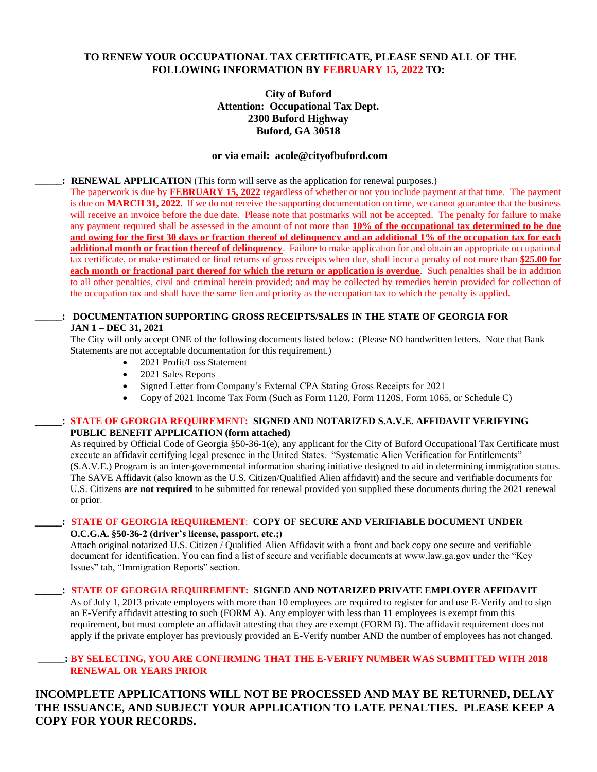### **TO RENEW YOUR OCCUPATIONAL TAX CERTIFICATE, PLEASE SEND ALL OF THE FOLLOWING INFORMATION BY FEBRUARY 15, 2022 TO:**

## **City of Buford Attention: Occupational Tax Dept. 2300 Buford Highway Buford, GA 30518**

### **or via email: acole@cityofbuford.com**

### **\_\_\_\_\_: RENEWAL APPLICATION** (This form will serve as the application for renewal purposes.)

The paperwork is due by **FEBRUARY 15, 2022** regardless of whether or not you include payment at that time. The payment is due on **MARCH 31, 2022.** If we do not receive the supporting documentation on time, we cannot guarantee that the business will receive an invoice before the due date. Please note that postmarks will not be accepted. The penalty for failure to make any payment required shall be assessed in the amount of not more than **10% of the occupational tax determined to be due and owing for the first 30 days or fraction thereof of delinquency and an additional 1% of the occupation tax for each additional month or fraction thereof of delinquency**. Failure to make application for and obtain an appropriate occupational tax certificate, or make estimated or final returns of gross receipts when due, shall incur a penalty of not more than **\$25.00 for each month or fractional part thereof for which the return or application is overdue**. Such penalties shall be in addition to all other penalties, civil and criminal herein provided; and may be collected by remedies herein provided for collection of the occupation tax and shall have the same lien and priority as the occupation tax to which the penalty is applied.

### **\_\_\_\_\_: DOCUMENTATION SUPPORTING GROSS RECEIPTS/SALES IN THE STATE OF GEORGIA FOR JAN 1 – DEC 31, 2021**

The City will only accept ONE of the following documents listed below: (Please NO handwritten letters. Note that Bank Statements are not acceptable documentation for this requirement.)

- 2021 Profit/Loss Statement
- 2021 Sales Reports
- Signed Letter from Company's External CPA Stating Gross Receipts for 2021
- Copy of 2021 Income Tax Form (Such as Form 1120, Form 1120S, Form 1065, or Schedule C)

### **\_\_\_\_\_: STATE OF GEORGIA REQUIREMENT: SIGNED AND NOTARIZED S.A.V.E. AFFIDAVIT VERIFYING PUBLIC BENEFIT APPLICATION (form attached)**

As required by Official Code of Georgia §50-36-1(e), any applicant for the City of Buford Occupational Tax Certificate must execute an affidavit certifying legal presence in the United States. "Systematic Alien Verification for Entitlements" (S.A.V.E.) Program is an inter-governmental information sharing initiative designed to aid in determining immigration status. The SAVE Affidavit (also known as the U.S. Citizen/Qualified Alien affidavit) and the secure and verifiable documents for U.S. Citizens **are not required** to be submitted for renewal provided you supplied these documents during the 2021 renewal or prior.

### **\_\_\_\_\_: STATE OF GEORGIA REQUIREMENT**: **COPY OF SECURE AND VERIFIABLE DOCUMENT UNDER O.C.G.A. §50-36-2 (driver's license, passport, etc.;)**

Attach original notarized U.S. Citizen  $\overline{\phantom{a}}$  Qualified Alien Affidavit with a front and back copy one secure and verifiable document for identification. You can find a list of secure and verifiable documents at www.law.ga.gov under the "Key Issues" tab, "Immigration Reports" section.

### **\_\_\_\_\_: STATE OF GEORGIA REQUIREMENT: SIGNED AND NOTARIZED PRIVATE EMPLOYER AFFIDAVIT**

As of July 1, 2013 private employers with more than 10 employees are required to register for and use E-Verify and to sign an E-Verify affidavit attesting to such (FORM A). Any employer with less than 11 employees is exempt from this requirement, but must complete an affidavit attesting that they are exempt (FORM B). The affidavit requirement does not apply if the private employer has previously provided an E-Verify number AND the number of employees has not changed.

### **\_\_\_\_\_: BY SELECTING, YOU ARE CONFIRMING THAT THE E-VERIFY NUMBER WAS SUBMITTED WITH 2018 RENEWAL OR YEARS PRIOR**

# **INCOMPLETE APPLICATIONS WILL NOT BE PROCESSED AND MAY BE RETURNED, DELAY THE ISSUANCE, AND SUBJECT YOUR APPLICATION TO LATE PENALTIES. PLEASE KEEP A COPY FOR YOUR RECORDS.**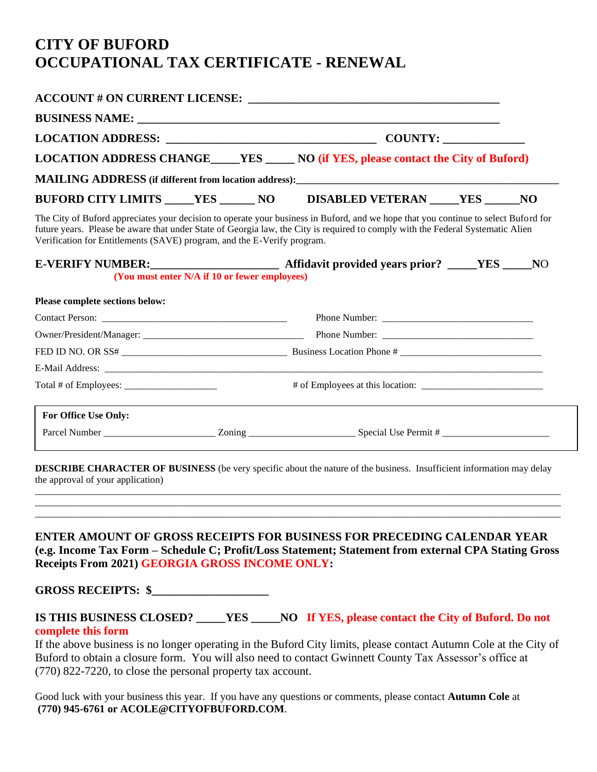# **CITY OF BUFORD OCCUPATIONAL TAX CERTIFICATE - RENEWAL**

|                                                                                                                                                             |                                               | LOCATION ADDRESS CHANGE____YES ______ NO (if YES, please contact the City of Buford)                                                                                                                                                                                   |  |  |  |
|-------------------------------------------------------------------------------------------------------------------------------------------------------------|-----------------------------------------------|------------------------------------------------------------------------------------------------------------------------------------------------------------------------------------------------------------------------------------------------------------------------|--|--|--|
|                                                                                                                                                             |                                               |                                                                                                                                                                                                                                                                        |  |  |  |
|                                                                                                                                                             |                                               |                                                                                                                                                                                                                                                                        |  |  |  |
|                                                                                                                                                             |                                               |                                                                                                                                                                                                                                                                        |  |  |  |
| Verification for Entitlements (SAVE) program, and the E-Verify program.                                                                                     |                                               | The City of Buford appreciates your decision to operate your business in Buford, and we hope that you continue to select Buford for<br>future years. Please be aware that under State of Georgia law, the City is required to comply with the Federal Systematic Alien |  |  |  |
|                                                                                                                                                             |                                               |                                                                                                                                                                                                                                                                        |  |  |  |
|                                                                                                                                                             | (You must enter N/A if 10 or fewer employees) |                                                                                                                                                                                                                                                                        |  |  |  |
|                                                                                                                                                             |                                               |                                                                                                                                                                                                                                                                        |  |  |  |
|                                                                                                                                                             |                                               |                                                                                                                                                                                                                                                                        |  |  |  |
|                                                                                                                                                             |                                               |                                                                                                                                                                                                                                                                        |  |  |  |
|                                                                                                                                                             |                                               |                                                                                                                                                                                                                                                                        |  |  |  |
|                                                                                                                                                             |                                               |                                                                                                                                                                                                                                                                        |  |  |  |
| Please complete sections below:<br>Total # of Employees: $\frac{1}{\sqrt{1-\frac{1}{2}}}\left\{ \frac{1}{2}, \frac{1}{2}, \frac{1}{2}, \frac{1}{2}\right\}$ |                                               |                                                                                                                                                                                                                                                                        |  |  |  |
| For Office Use Only:                                                                                                                                        |                                               |                                                                                                                                                                                                                                                                        |  |  |  |

**DESCRIBE CHARACTER OF BUSINESS** (be very specific about the nature of the business. Insufficient information may delay the approval of your application)

\_\_\_\_\_\_\_\_\_\_\_\_\_\_\_\_\_\_\_\_\_\_\_\_\_\_\_\_\_\_\_\_\_\_\_\_\_\_\_\_\_\_\_\_\_\_\_\_\_\_\_\_\_\_\_\_\_\_\_\_\_\_\_\_\_\_\_\_\_\_\_\_\_\_\_\_\_\_\_\_\_\_\_\_\_\_\_\_\_\_\_\_\_\_\_\_\_\_\_\_\_\_\_\_\_\_\_\_ \_\_\_\_\_\_\_\_\_\_\_\_\_\_\_\_\_\_\_\_\_\_\_\_\_\_\_\_\_\_\_\_\_\_\_\_\_\_\_\_\_\_\_\_\_\_\_\_\_\_\_\_\_\_\_\_\_\_\_\_\_\_\_\_\_\_\_\_\_\_\_\_\_\_\_\_\_\_\_\_\_\_\_\_\_\_\_\_\_\_\_\_\_\_\_\_\_\_\_\_\_\_\_\_\_\_\_\_ \_\_\_\_\_\_\_\_\_\_\_\_\_\_\_\_\_\_\_\_\_\_\_\_\_\_\_\_\_\_\_\_\_\_\_\_\_\_\_\_\_\_\_\_\_\_\_\_\_\_\_\_\_\_\_\_\_\_\_\_\_\_\_\_\_\_\_\_\_\_\_\_\_\_\_\_\_\_\_\_\_\_\_\_\_\_\_\_\_\_\_\_\_\_\_\_\_\_\_\_\_\_\_\_\_\_\_\_

# **ENTER AMOUNT OF GROSS RECEIPTS FOR BUSINESS FOR PRECEDING CALENDAR YEAR (e.g. Income Tax Form – Schedule C; Profit/Loss Statement; Statement from external CPA Stating Gross Receipts From 2021) GEORGIA GROSS INCOME ONLY:**

**GROSS RECEIPTS: \$\_\_\_\_\_\_\_\_\_\_\_\_\_\_\_\_\_\_\_\_** 

**IS THIS BUSINESS CLOSED? \_\_\_\_\_YES \_\_\_\_\_NO If YES, please contact the City of Buford. Do not complete this form**

If the above business is no longer operating in the Buford City limits, please contact Autumn Cole at the City of Buford to obtain a closure form. You will also need to contact Gwinnett County Tax Assessor's office at (770) 822-7220, to close the personal property tax account.

Good luck with your business this year. If you have any questions or comments, please contact **Autumn Cole** at **(770) 945-6761 or ACOLE@CITYOFBUFORD.COM**.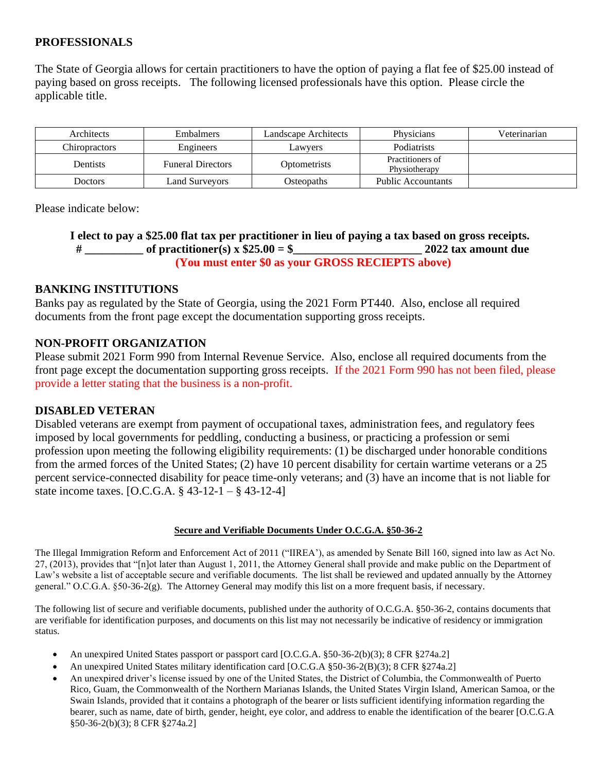# **PROFESSIONALS**

The State of Georgia allows for certain practitioners to have the option of paying a flat fee of \$25.00 instead of paying based on gross receipts. The following licensed professionals have this option. Please circle the applicable title.

| Architects      | <b>Embalmers</b>         | Landscape Architects | Physicians                        | Veterinarian |
|-----------------|--------------------------|----------------------|-----------------------------------|--------------|
| Chiropractors   | Engineers                | Lawyers              | <b>Podiatrists</b>                |              |
| <b>Dentists</b> | <b>Funeral Directors</b> | Optometrists         | Practitioners of<br>Physiotherapy |              |
| Doctors         | Land Surveyors           | Osteopaths           | <b>Public Accountants</b>         |              |

Please indicate below:

# **I elect to pay a \$25.00 flat tax per practitioner in lieu of paying a tax based on gross receipts. # \_\_\_\_\_\_\_\_\_\_ of practitioner(s) x \$25.00 = \$\_\_\_\_\_\_\_\_\_\_\_\_\_\_\_\_\_\_\_\_\_\_ 2022 tax amount due (You must enter \$0 as your GROSS RECIEPTS above)**

# **BANKING INSTITUTIONS**

Banks pay as regulated by the State of Georgia, using the 2021 Form PT440. Also, enclose all required documents from the front page except the documentation supporting gross receipts.

# **NON-PROFIT ORGANIZATION**

Please submit 2021 Form 990 from Internal Revenue Service. Also, enclose all required documents from the front page except the documentation supporting gross receipts. If the 2021 Form 990 has not been filed, please provide a letter stating that the business is a non-profit.

# **DISABLED VETERAN**

Disabled veterans are exempt from payment of occupational taxes, administration fees, and regulatory fees imposed by local governments for peddling, conducting a business, or practicing a profession or semi profession upon meeting the following eligibility requirements: (1) be discharged under honorable conditions from the armed forces of the United States; (2) have 10 percent disability for certain wartime veterans or a 25 percent service-connected disability for peace time-only veterans; and (3) have an income that is not liable for state income taxes. [O.C.G.A. § 43-12-1 – § 43-12-4]

## **Secure and Verifiable Documents Under O.C.G.A. §50-36-2**

The Illegal Immigration Reform and Enforcement Act of 2011 ("IIREA'), as amended by Senate Bill 160, signed into law as Act No. 27, (2013), provides that "[n]ot later than August 1, 2011, the Attorney General shall provide and make public on the Department of Law's website a list of acceptable secure and verifiable documents. The list shall be reviewed and updated annually by the Attorney general." O.C.G.A. §50-36-2(g). The Attorney General may modify this list on a more frequent basis, if necessary.

The following list of secure and verifiable documents, published under the authority of O.C.G.A. §50-36-2, contains documents that are verifiable for identification purposes, and documents on this list may not necessarily be indicative of residency or immigration status.

- An unexpired United States passport or passport card [O.C.G.A. §50-36-2(b)(3); 8 CFR §274a.2]
- An unexpired United States military identification card [O.C.G.A §50-36-2(B)(3); 8 CFR §274a.2]
- An unexpired driver's license issued by one of the United States, the District of Columbia, the Commonwealth of Puerto Rico, Guam, the Commonwealth of the Northern Marianas Islands, the United States Virgin Island, American Samoa, or the Swain Islands, provided that it contains a photograph of the bearer or lists sufficient identifying information regarding the bearer, such as name, date of birth, gender, height, eye color, and address to enable the identification of the bearer [O.C.G.A §50-36-2(b)(3); 8 CFR §274a.2]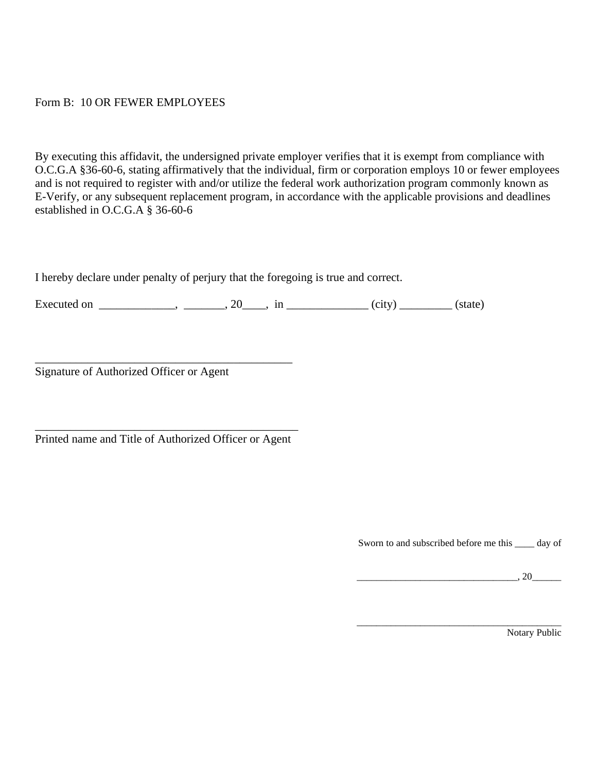# Form B: 10 OR FEWER EMPLOYEES

By executing this affidavit, the undersigned private employer verifies that it is exempt from compliance with O.C.G.A §36-60-6, stating affirmatively that the individual, firm or corporation employs 10 or fewer employees and is not required to register with and/or utilize the federal work authorization program commonly known as E-Verify, or any subsequent replacement program, in accordance with the applicable provisions and deadlines established in O.C.G.A § 36-60-6

I hereby declare under penalty of perjury that the foregoing is true and correct.

Executed on \_\_\_\_\_\_\_\_\_\_\_, \_\_\_\_\_\_, 20\_\_\_\_, in \_\_\_\_\_\_\_\_\_\_\_\_\_\_(city) \_\_\_\_\_\_\_\_(state)

Signature of Authorized Officer or Agent

\_\_\_\_\_\_\_\_\_\_\_\_\_\_\_\_\_\_\_\_\_\_\_\_\_\_\_\_\_\_\_\_\_\_\_\_\_\_\_\_\_\_\_\_\_ Printed name and Title of Authorized Officer or Agent

\_\_\_\_\_\_\_\_\_\_\_\_\_\_\_\_\_\_\_\_\_\_\_\_\_\_\_\_\_\_\_\_\_\_\_\_\_\_\_\_\_\_\_\_

Sworn to and subscribed before me this \_\_\_\_ day of

\_\_\_\_\_\_\_\_\_\_\_\_\_\_\_\_\_\_\_\_\_\_\_\_\_\_\_\_\_\_\_\_\_, 20\_\_\_\_\_\_

\_\_\_\_\_\_\_\_\_\_\_\_\_\_\_\_\_\_\_\_\_\_\_\_\_\_\_\_\_\_\_\_\_\_\_\_\_\_\_\_\_\_

Notary Public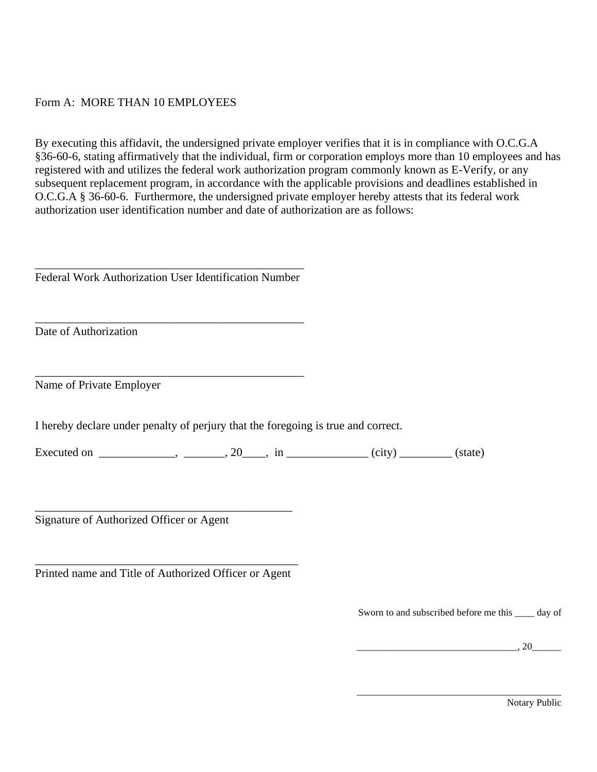# Form A: MORE THAN 10 EMPLOYEES

By executing this affidavit, the undersigned private employer verifies that it is in compliance with O.C.G.A §36-60-6, stating affirmatively that the individual, firm or corporation employs more than 10 employees and has registered with and utilizes the federal work authorization program commonly known as E-Verify, or any subsequent replacement program, in accordance with the applicable provisions and deadlines established in O.C.G.A § 36-60-6. Furthermore, the undersigned private employer hereby attests that its federal work authorization user identification number and date of authorization are as follows:

\_\_\_\_\_\_\_\_\_\_\_\_\_\_\_\_\_\_\_\_\_\_\_\_\_\_\_\_\_\_\_\_\_\_\_\_\_\_\_\_\_\_\_\_\_\_ Federal Work Authorization User Identification Number

\_\_\_\_\_\_\_\_\_\_\_\_\_\_\_\_\_\_\_\_\_\_\_\_\_\_\_\_\_\_\_\_\_\_\_\_\_\_\_\_\_\_\_\_\_\_

\_\_\_\_\_\_\_\_\_\_\_\_\_\_\_\_\_\_\_\_\_\_\_\_\_\_\_\_\_\_\_\_\_\_\_\_\_\_\_\_\_\_\_\_\_\_

Date of Authorization

Name of Private Employer

I hereby declare under penalty of perjury that the foregoing is true and correct.

Executed on \_\_\_\_\_\_\_\_\_\_\_, \_\_\_\_\_\_, 20\_\_\_\_, in \_\_\_\_\_\_\_\_\_\_\_\_\_\_(city) \_\_\_\_\_\_\_\_(state)

Signature of Authorized Officer or Agent

\_\_\_\_\_\_\_\_\_\_\_\_\_\_\_\_\_\_\_\_\_\_\_\_\_\_\_\_\_\_\_\_\_\_\_\_\_\_\_\_\_\_\_\_\_ Printed name and Title of Authorized Officer or Agent

\_\_\_\_\_\_\_\_\_\_\_\_\_\_\_\_\_\_\_\_\_\_\_\_\_\_\_\_\_\_\_\_\_\_\_\_\_\_\_\_\_\_\_\_

Sworn to and subscribed before me this \_\_\_\_ day of

\_\_\_\_\_\_\_\_\_\_\_\_\_\_\_\_\_\_\_\_\_\_\_\_\_\_\_\_\_\_\_\_\_\_\_\_\_\_\_\_\_\_

\_\_\_\_\_\_\_\_\_\_\_\_\_\_\_\_\_\_\_\_\_\_\_\_\_\_\_\_\_\_\_\_\_, 20\_\_\_\_\_\_

Notary Public